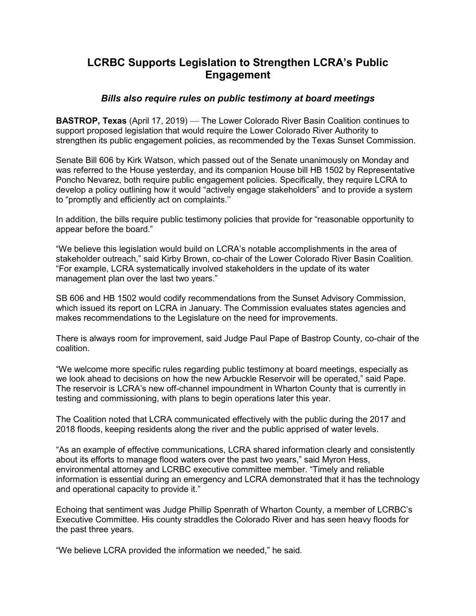## **LCRBC Supports Legislation to Strengthen LCRA's Public Engagement**

## *Bills also require rules on public testimony at board meetings*

**BASTROP, Texas** (April 17, 2019) — The Lower Colorado River Basin Coalition continues to support proposed legislation that would require the Lower Colorado River Authority to strengthen its public engagement policies, as recommended by the Texas Sunset Commission.

Senate Bill 606 by Kirk Watson, which passed out of the Senate unanimously on Monday and was referred to the House yesterday, and its companion House bill HB 1502 by Representative Poncho Nevarez, both require public engagement policies. Specifically, they require LCRA to develop a policy outlining how it would "actively engage stakeholders" and to provide a system to "promptly and efficiently act on complaints.''

In addition, the bills require public testimony policies that provide for "reasonable opportunity to appear before the board."

"We believe this legislation would build on LCRA's notable accomplishments in the area of stakeholder outreach," said Kirby Brown, co-chair of the Lower Colorado River Basin Coalition. "For example, LCRA systematically involved stakeholders in the update of its water management plan over the last two years."

SB 606 and HB 1502 would codify recommendations from the Sunset Advisory Commission, which issued its report on LCRA in January. The Commission evaluates states agencies and makes recommendations to the Legislature on the need for improvements.

There is always room for improvement, said Judge Paul Pape of Bastrop County, co-chair of the coalition.

"We welcome more specific rules regarding public testimony at board meetings, especially as we look ahead to decisions on how the new Arbuckle Reservoir will be operated," said Pape. The reservoir is LCRA's new off-channel impoundment in Wharton County that is currently in testing and commissioning, with plans to begin operations later this year.

The Coalition noted that LCRA communicated effectively with the public during the 2017 and 2018 floods, keeping residents along the river and the public apprised of water levels.

"As an example of effective communications, LCRA shared information clearly and consistently about its efforts to manage flood waters over the past two years," said Myron Hess, environmental attorney and LCRBC executive committee member. "Timely and reliable information is essential during an emergency and LCRA demonstrated that it has the technology and operational capacity to provide it."

Echoing that sentiment was Judge Phillip Spenrath of Wharton County, a member of LCRBC's Executive Committee. His county straddles the Colorado River and has seen heavy floods for the past three years.

"We believe LCRA provided the information we needed," he said.